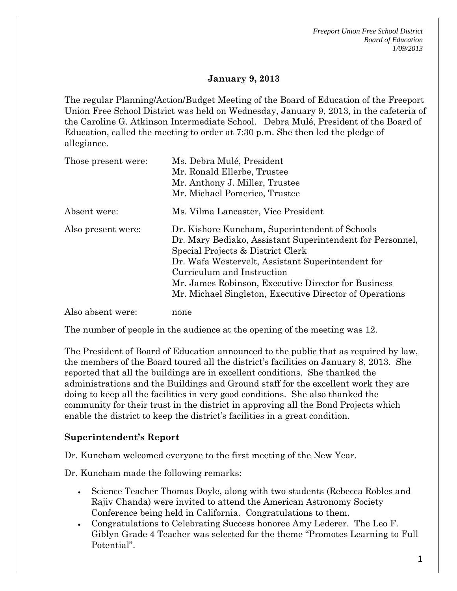*Freeport Union Free School District Board of Education 1/09/2013* 

## **January 9, 2013**

The regular Planning/Action/Budget Meeting of the Board of Education of the Freeport Union Free School District was held on Wednesday, January 9, 2013, in the cafeteria of the Caroline G. Atkinson Intermediate School. Debra Mulé, President of the Board of Education, called the meeting to order at 7:30 p.m. She then led the pledge of allegiance.

| Those present were: | Ms. Debra Mulé, President<br>Mr. Ronald Ellerbe, Trustee<br>Mr. Anthony J. Miller, Trustee<br>Mr. Michael Pomerico, Trustee                                                                                                                                                                                                                           |
|---------------------|-------------------------------------------------------------------------------------------------------------------------------------------------------------------------------------------------------------------------------------------------------------------------------------------------------------------------------------------------------|
| Absent were:        | Ms. Vilma Lancaster, Vice President                                                                                                                                                                                                                                                                                                                   |
| Also present were:  | Dr. Kishore Kuncham, Superintendent of Schools<br>Dr. Mary Bediako, Assistant Superintendent for Personnel,<br>Special Projects & District Clerk<br>Dr. Wafa Westervelt, Assistant Superintendent for<br>Curriculum and Instruction<br>Mr. James Robinson, Executive Director for Business<br>Mr. Michael Singleton, Executive Director of Operations |
| Also absent were:   | none                                                                                                                                                                                                                                                                                                                                                  |

The number of people in the audience at the opening of the meeting was 12.

The President of Board of Education announced to the public that as required by law, the members of the Board toured all the district's facilities on January 8, 2013. She reported that all the buildings are in excellent conditions. She thanked the administrations and the Buildings and Ground staff for the excellent work they are doing to keep all the facilities in very good conditions. She also thanked the community for their trust in the district in approving all the Bond Projects which enable the district to keep the district's facilities in a great condition.

### **Superintendent's Report**

Dr. Kuncham welcomed everyone to the first meeting of the New Year.

Dr. Kuncham made the following remarks:

- Science Teacher Thomas Doyle, along with two students (Rebecca Robles and Rajiv Chanda) were invited to attend the American Astronomy Society Conference being held in California. Congratulations to them.
- Congratulations to Celebrating Success honoree Amy Lederer. The Leo F. Giblyn Grade 4 Teacher was selected for the theme "Promotes Learning to Full Potential".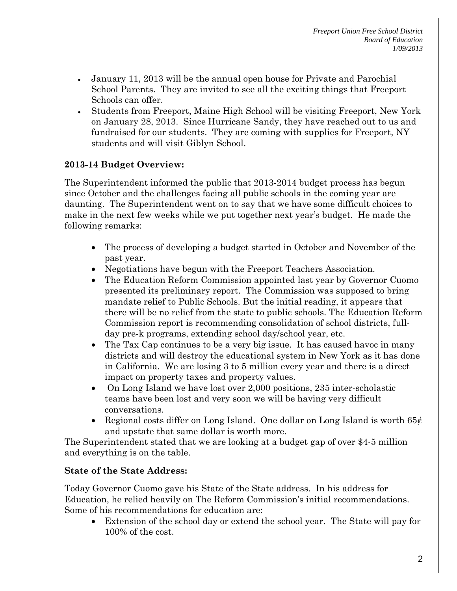- January 11, 2013 will be the annual open house for Private and Parochial School Parents. They are invited to see all the exciting things that Freeport Schools can offer.
- Students from Freeport, Maine High School will be visiting Freeport, New York on January 28, 2013. Since Hurricane Sandy, they have reached out to us and fundraised for our students. They are coming with supplies for Freeport, NY students and will visit Giblyn School.

# **2013-14 Budget Overview:**

The Superintendent informed the public that 2013-2014 budget process has begun since October and the challenges facing all public schools in the coming year are daunting. The Superintendent went on to say that we have some difficult choices to make in the next few weeks while we put together next year's budget. He made the following remarks:

- The process of developing a budget started in October and November of the past year.
- Negotiations have begun with the Freeport Teachers Association.
- The Education Reform Commission appointed last year by Governor Cuomo presented its preliminary report. The Commission was supposed to bring mandate relief to Public Schools. But the initial reading, it appears that there will be no relief from the state to public schools. The Education Reform Commission report is recommending consolidation of school districts, fullday pre-k programs, extending school day/school year, etc.
- The Tax Cap continues to be a very big issue. It has caused havoc in many districts and will destroy the educational system in New York as it has done in California. We are losing 3 to 5 million every year and there is a direct impact on property taxes and property values.
- On Long Island we have lost over 2,000 positions, 235 inter-scholastic teams have been lost and very soon we will be having very difficult conversations.
- Regional costs differ on Long Island. One dollar on Long Island is worth  $65¢$ and upstate that same dollar is worth more.

The Superintendent stated that we are looking at a budget gap of over \$4-5 million and everything is on the table.

# **State of the State Address:**

Today Governor Cuomo gave his State of the State address. In his address for Education, he relied heavily on The Reform Commission's initial recommendations. Some of his recommendations for education are:

 Extension of the school day or extend the school year. The State will pay for 100% of the cost.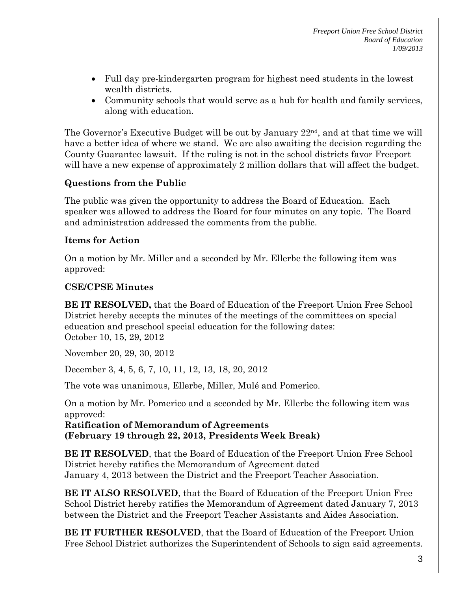- Full day pre-kindergarten program for highest need students in the lowest wealth districts.
- Community schools that would serve as a hub for health and family services, along with education.

The Governor's Executive Budget will be out by January  $22<sup>nd</sup>$ , and at that time we will have a better idea of where we stand. We are also awaiting the decision regarding the County Guarantee lawsuit. If the ruling is not in the school districts favor Freeport will have a new expense of approximately 2 million dollars that will affect the budget.

# **Questions from the Public**

The public was given the opportunity to address the Board of Education. Each speaker was allowed to address the Board for four minutes on any topic. The Board and administration addressed the comments from the public.

# **Items for Action**

On a motion by Mr. Miller and a seconded by Mr. Ellerbe the following item was approved:

# **CSE/CPSE Minutes**

**BE IT RESOLVED,** that the Board of Education of the Freeport Union Free School District hereby accepts the minutes of the meetings of the committees on special education and preschool special education for the following dates: October 10, 15, 29, 2012

November 20, 29, 30, 2012

December 3, 4, 5, 6, 7, 10, 11, 12, 13, 18, 20, 2012

The vote was unanimous, Ellerbe, Miller, Mulé and Pomerico.

On a motion by Mr. Pomerico and a seconded by Mr. Ellerbe the following item was approved:

**Ratification of Memorandum of Agreements (February 19 through 22, 2013, Presidents Week Break)** 

**BE IT RESOLVED**, that the Board of Education of the Freeport Union Free School District hereby ratifies the Memorandum of Agreement dated January 4, 2013 between the District and the Freeport Teacher Association.

**BE IT ALSO RESOLVED**, that the Board of Education of the Freeport Union Free School District hereby ratifies the Memorandum of Agreement dated January 7, 2013 between the District and the Freeport Teacher Assistants and Aides Association.

**BE IT FURTHER RESOLVED**, that the Board of Education of the Freeport Union Free School District authorizes the Superintendent of Schools to sign said agreements.